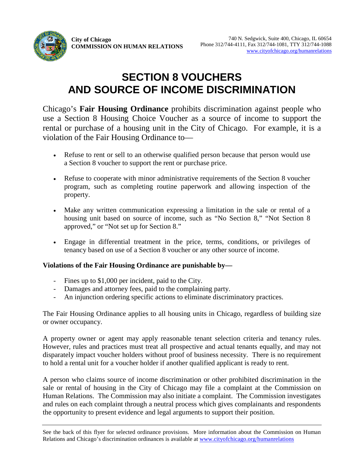# **SECTION 8 VOUCHERS AND SOURCE OF INCOME DISCRIMINATION**

Chicago's **Fair Housing Ordinance** prohibits discrimination against people who use a Section 8 Housing Choice Voucher as a source of income to support the rental or purchase of a housing unit in the City of Chicago. For example, it is a violation of the Fair Housing Ordinance to—

- Refuse to rent or sell to an otherwise qualified person because that person would use a Section 8 voucher to support the rent or purchase price.
- Refuse to cooperate with minor administrative requirements of the Section 8 voucher program, such as completing routine paperwork and allowing inspection of the property.
- Make any written communication expressing a limitation in the sale or rental of a housing unit based on source of income, such as "No Section 8," "Not Section 8 approved," or "Not set up for Section 8."
- Engage in differential treatment in the price, terms, conditions, or privileges of tenancy based on use of a Section 8 voucher or any other source of income.

### **Violations of the Fair Housing Ordinance are punishable by—**

- Fines up to \$1,000 per incident, paid to the City.
- Damages and attorney fees, paid to the complaining party.
- An injunction ordering specific actions to eliminate discriminatory practices.

The Fair Housing Ordinance applies to all housing units in Chicago, regardless of building size or owner occupancy.

A property owner or agent may apply reasonable tenant selection criteria and tenancy rules. However, rules and practices must treat all prospective and actual tenants equally, and may not disparately impact voucher holders without proof of business necessity. There is no requirement to hold a rental unit for a voucher holder if another qualified applicant is ready to rent.

A person who claims source of income discrimination or other prohibited discrimination in the sale or rental of housing in the City of Chicago may file a complaint at the Commission on Human Relations. The Commission may also initiate a complaint. The Commission investigates and rules on each complaint through a neutral process which gives complainants and respondents the opportunity to present evidence and legal arguments to support their position.

See the back of this flyer for selected ordinance provisions. More information about the Commission on Human Relations and Chicago's discrimination ordinances is available at [www.cityofchicago.org/humanrelations](http://www.cityofchicago.org/humanrelations)